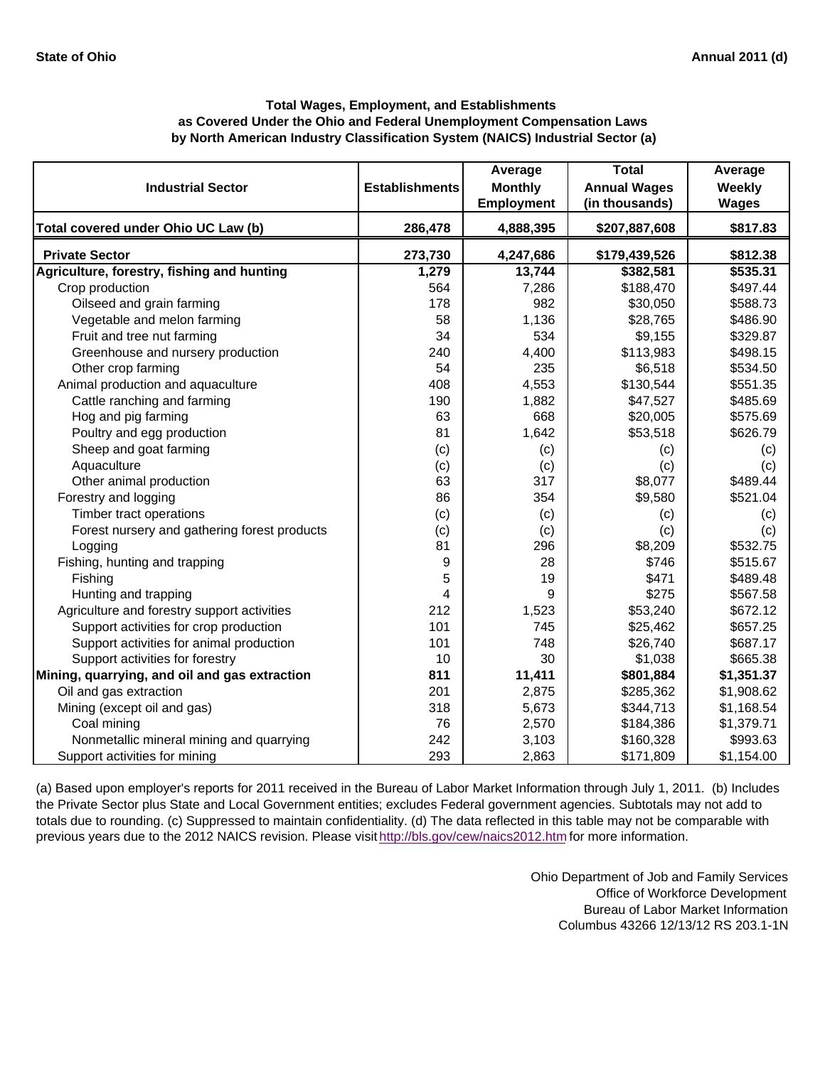|                                               |                       | Average           | <b>Total</b>        | Average      |
|-----------------------------------------------|-----------------------|-------------------|---------------------|--------------|
| <b>Industrial Sector</b>                      | <b>Establishments</b> | <b>Monthly</b>    | <b>Annual Wages</b> | Weekly       |
|                                               |                       | <b>Employment</b> | (in thousands)      | <b>Wages</b> |
| Total covered under Ohio UC Law (b)           | 286,478               | 4,888,395         | \$207,887,608       | \$817.83     |
| <b>Private Sector</b>                         | 273,730               | 4,247,686         | \$179,439,526       | \$812.38     |
| Agriculture, forestry, fishing and hunting    | 1,279                 | 13,744            | \$382,581           | \$535.31     |
| Crop production                               | 564                   | 7,286             | \$188,470           | \$497.44     |
| Oilseed and grain farming                     | 178                   | 982               | \$30,050            | \$588.73     |
| Vegetable and melon farming                   | 58                    | 1,136             | \$28,765            | \$486.90     |
| Fruit and tree nut farming                    | 34                    | 534               | \$9,155             | \$329.87     |
| Greenhouse and nursery production             | 240                   | 4,400             | \$113,983           | \$498.15     |
| Other crop farming                            | 54                    | 235               | \$6,518             | \$534.50     |
| Animal production and aquaculture             | 408                   | 4,553             | \$130,544           | \$551.35     |
| Cattle ranching and farming                   | 190                   | 1,882             | \$47,527            | \$485.69     |
| Hog and pig farming                           | 63                    | 668               | \$20,005            | \$575.69     |
| Poultry and egg production                    | 81                    | 1,642             | \$53,518            | \$626.79     |
| Sheep and goat farming                        | (c)                   | (c)               | (c)                 | (c)          |
| Aquaculture                                   | (c)                   | (c)               | (c)                 | (c)          |
| Other animal production                       | 63                    | 317               | \$8,077             | \$489.44     |
| Forestry and logging                          | 86                    | 354               | \$9,580             | \$521.04     |
| Timber tract operations                       | (c)                   | (c)               | (c)                 | (c)          |
| Forest nursery and gathering forest products  | (c)                   | (c)               | (c)                 | (c)          |
| Logging                                       | 81                    | 296               | \$8,209             | \$532.75     |
| Fishing, hunting and trapping                 | 9                     | 28                | \$746               | \$515.67     |
| Fishing                                       | 5                     | 19                | \$471               | \$489.48     |
| Hunting and trapping                          | 4                     | 9                 | \$275               | \$567.58     |
| Agriculture and forestry support activities   | 212                   | 1,523             | \$53,240            | \$672.12     |
| Support activities for crop production        | 101                   | 745               | \$25,462            | \$657.25     |
| Support activities for animal production      | 101                   | 748               | \$26,740            | \$687.17     |
| Support activities for forestry               | 10                    | 30                | \$1,038             | \$665.38     |
| Mining, quarrying, and oil and gas extraction | 811                   | 11,411            | \$801,884           | \$1,351.37   |
| Oil and gas extraction                        | 201                   | 2,875             | \$285,362           | \$1,908.62   |
| Mining (except oil and gas)                   | 318                   | 5,673             | \$344,713           | \$1,168.54   |
| Coal mining                                   | 76                    | 2,570             | \$184,386           | \$1,379.71   |
| Nonmetallic mineral mining and quarrying      | 242                   | 3,103             | \$160,328           | \$993.63     |
| Support activities for mining                 | 293                   | 2,863             | \$171,809           | \$1,154.00   |

(a) Based upon employer's reports for 2011 received in the Bureau of Labor Market Information through July 1, 2011. (b) Includes the Private Sector plus State and Local Government entities; excludes Federal government agencies. Subtotals may not add to totals due to rounding. (c) Suppressed to maintain confidentiality. (d) The data reflected in this table may not be comparable with previous years due to the 2012 NAICS revision. Please visit http://bls.gov/cew/naics2012.htm for more information.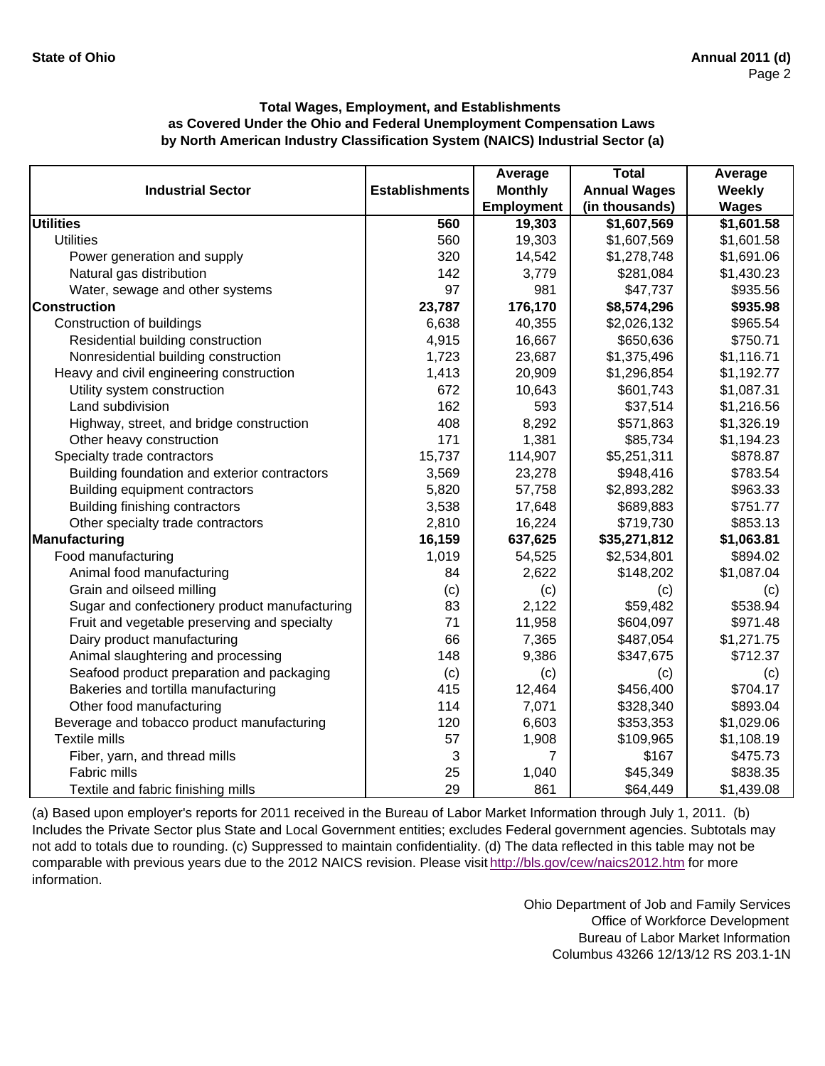|                                               |                       | Average           | <b>Total</b>        | Average       |
|-----------------------------------------------|-----------------------|-------------------|---------------------|---------------|
| <b>Industrial Sector</b>                      | <b>Establishments</b> | <b>Monthly</b>    | <b>Annual Wages</b> | <b>Weekly</b> |
|                                               |                       | <b>Employment</b> | (in thousands)      | <b>Wages</b>  |
| <b>Utilities</b>                              | 560                   | 19,303            | \$1,607,569         | \$1,601.58    |
| <b>Utilities</b>                              | 560                   | 19,303            | \$1,607,569         | \$1,601.58    |
| Power generation and supply                   | 320                   | 14,542            | \$1,278,748         | \$1,691.06    |
| Natural gas distribution                      | 142                   | 3,779             | \$281,084           | \$1,430.23    |
| Water, sewage and other systems               | 97                    | 981               | \$47,737            | \$935.56      |
| <b>Construction</b>                           | 23,787                | 176,170           | \$8,574,296         | \$935.98      |
| Construction of buildings                     | 6,638                 | 40,355            | \$2,026,132         | \$965.54      |
| Residential building construction             | 4,915                 | 16,667            | \$650,636           | \$750.71      |
| Nonresidential building construction          | 1,723                 | 23,687            | \$1,375,496         | \$1,116.71    |
| Heavy and civil engineering construction      | 1,413                 | 20,909            | \$1,296,854         | \$1,192.77    |
| Utility system construction                   | 672                   | 10,643            | \$601,743           | \$1,087.31    |
| Land subdivision                              | 162                   | 593               | \$37,514            | \$1,216.56    |
| Highway, street, and bridge construction      | 408                   | 8,292             | \$571,863           | \$1,326.19    |
| Other heavy construction                      | 171                   | 1,381             | \$85,734            | \$1,194.23    |
| Specialty trade contractors                   | 15,737                | 114,907           | \$5,251,311         | \$878.87      |
| Building foundation and exterior contractors  | 3,569                 | 23,278            | \$948,416           | \$783.54      |
| Building equipment contractors                | 5,820                 | 57,758            | \$2,893,282         | \$963.33      |
| Building finishing contractors                | 3,538                 | 17,648            | \$689,883           | \$751.77      |
| Other specialty trade contractors             | 2,810                 | 16,224            | \$719,730           | \$853.13      |
| Manufacturing                                 | 16,159                | 637,625           | \$35,271,812        | \$1,063.81    |
| Food manufacturing                            | 1,019                 | 54,525            | \$2,534,801         | \$894.02      |
| Animal food manufacturing                     | 84                    | 2,622             | \$148,202           | \$1,087.04    |
| Grain and oilseed milling                     | (c)                   | (c)               | (c)                 | (c)           |
| Sugar and confectionery product manufacturing | 83                    | 2,122             | \$59,482            | \$538.94      |
| Fruit and vegetable preserving and specialty  | 71                    | 11,958            | \$604,097           | \$971.48      |
| Dairy product manufacturing                   | 66                    | 7,365             | \$487,054           | \$1,271.75    |
| Animal slaughtering and processing            | 148                   | 9,386             | \$347,675           | \$712.37      |
| Seafood product preparation and packaging     | (c)                   | (c)               | (c)                 | (c)           |
| Bakeries and tortilla manufacturing           | 415                   | 12,464            | \$456,400           | \$704.17      |
| Other food manufacturing                      | 114                   | 7,071             | \$328,340           | \$893.04      |
| Beverage and tobacco product manufacturing    | 120                   | 6,603             | \$353,353           | \$1,029.06    |
| <b>Textile mills</b>                          | 57                    | 1,908             | \$109,965           | \$1,108.19    |
| Fiber, yarn, and thread mills                 | 3                     | 7                 | \$167               | \$475.73      |
| Fabric mills                                  | 25                    | 1,040             | \$45,349            | \$838.35      |
| Textile and fabric finishing mills            | 29                    | 861               | \$64,449            | \$1,439.08    |

(a) Based upon employer's reports for 2011 received in the Bureau of Labor Market Information through July 1, 2011. (b) Includes the Private Sector plus State and Local Government entities; excludes Federal government agencies. Subtotals may not add to totals due to rounding. (c) Suppressed to maintain confidentiality. (d) The data reflected in this table may not be comparable with previous years due to the 2012 NAICS revision. Please visit http://bls.gov/cew/naics2012.htm for more information.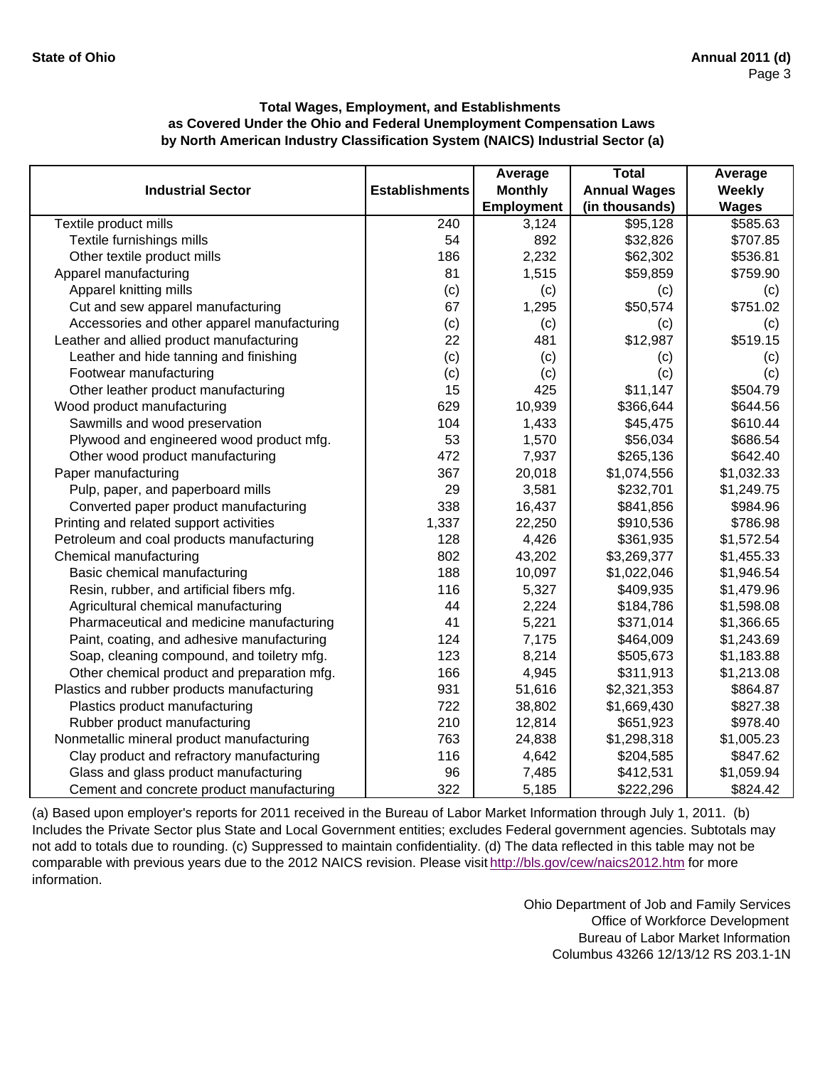|                                             |                       | Average           | <b>Total</b>        | Average       |
|---------------------------------------------|-----------------------|-------------------|---------------------|---------------|
| <b>Industrial Sector</b>                    | <b>Establishments</b> | <b>Monthly</b>    | <b>Annual Wages</b> | <b>Weekly</b> |
|                                             |                       | <b>Employment</b> | (in thousands)      | <b>Wages</b>  |
| Textile product mills                       | 240                   | 3,124             | \$95,128            | \$585.63      |
| Textile furnishings mills                   | 54                    | 892               | \$32,826            | \$707.85      |
| Other textile product mills                 | 186                   | 2,232             | \$62,302            | \$536.81      |
| Apparel manufacturing                       | 81                    | 1,515             | \$59,859            | \$759.90      |
| Apparel knitting mills                      | (c)                   | (c)               | (c)                 | (c)           |
| Cut and sew apparel manufacturing           | 67                    | 1,295             | \$50,574            | \$751.02      |
| Accessories and other apparel manufacturing | (c)                   | (c)               | (c)                 | (c)           |
| Leather and allied product manufacturing    | 22                    | 481               | \$12,987            | \$519.15      |
| Leather and hide tanning and finishing      | (c)                   | (c)               | (c)                 | (c)           |
| Footwear manufacturing                      | (c)                   | (c)               | (c)                 | (c)           |
| Other leather product manufacturing         | 15                    | 425               | \$11,147            | \$504.79      |
| Wood product manufacturing                  | 629                   | 10,939            | \$366,644           | \$644.56      |
| Sawmills and wood preservation              | 104                   | 1,433             | \$45,475            | \$610.44      |
| Plywood and engineered wood product mfg.    | 53                    | 1,570             | \$56,034            | \$686.54      |
| Other wood product manufacturing            | 472                   | 7,937             | \$265,136           | \$642.40      |
| Paper manufacturing                         | 367                   | 20,018            | \$1,074,556         | \$1,032.33    |
| Pulp, paper, and paperboard mills           | 29                    | 3,581             | \$232,701           | \$1,249.75    |
| Converted paper product manufacturing       | 338                   | 16,437            | \$841,856           | \$984.96      |
| Printing and related support activities     | 1,337                 | 22,250            | \$910,536           | \$786.98      |
| Petroleum and coal products manufacturing   | 128                   | 4,426             | \$361,935           | \$1,572.54    |
| Chemical manufacturing                      | 802                   | 43,202            | \$3,269,377         | \$1,455.33    |
| Basic chemical manufacturing                | 188                   | 10,097            | \$1,022,046         | \$1,946.54    |
| Resin, rubber, and artificial fibers mfg.   | 116                   | 5,327             | \$409,935           | \$1,479.96    |
| Agricultural chemical manufacturing         | 44                    | 2,224             | \$184,786           | \$1,598.08    |
| Pharmaceutical and medicine manufacturing   | 41                    | 5,221             | \$371,014           | \$1,366.65    |
| Paint, coating, and adhesive manufacturing  | 124                   | 7,175             | \$464,009           | \$1,243.69    |
| Soap, cleaning compound, and toiletry mfg.  | 123                   | 8,214             | \$505,673           | \$1,183.88    |
| Other chemical product and preparation mfg. | 166                   | 4,945             | \$311,913           | \$1,213.08    |
| Plastics and rubber products manufacturing  | 931                   | 51,616            | \$2,321,353         | \$864.87      |
| Plastics product manufacturing              | 722                   | 38,802            | \$1,669,430         | \$827.38      |
| Rubber product manufacturing                | 210                   | 12,814            | \$651,923           | \$978.40      |
| Nonmetallic mineral product manufacturing   | 763                   | 24,838            | \$1,298,318         | \$1,005.23    |
| Clay product and refractory manufacturing   | 116                   | 4,642             | \$204,585           | \$847.62      |
| Glass and glass product manufacturing       | 96                    | 7,485             | \$412,531           | \$1,059.94    |
| Cement and concrete product manufacturing   | 322                   | 5,185             | \$222,296           | \$824.42      |

(a) Based upon employer's reports for 2011 received in the Bureau of Labor Market Information through July 1, 2011. (b) Includes the Private Sector plus State and Local Government entities; excludes Federal government agencies. Subtotals may not add to totals due to rounding. (c) Suppressed to maintain confidentiality. (d) The data reflected in this table may not be comparable with previous years due to the 2012 NAICS revision. Please visit http://bls.gov/cew/naics2012.htm for more information.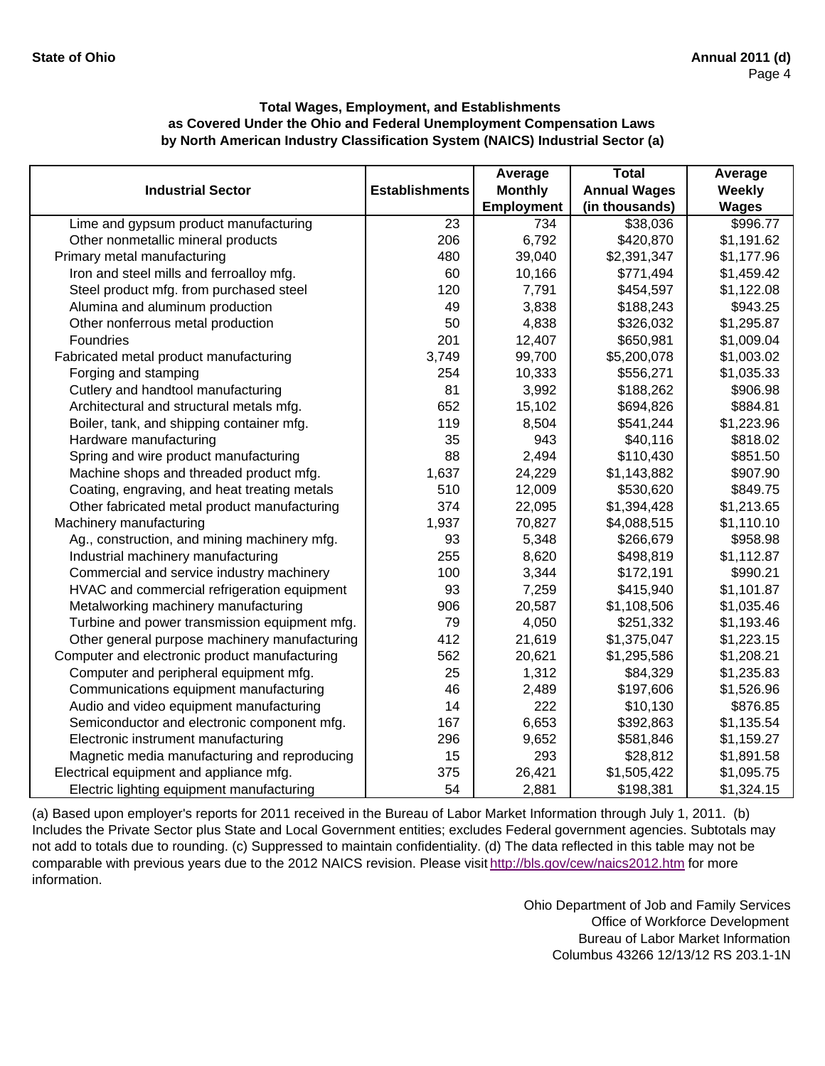|                                               |                       | Average           | <b>Total</b>        | Average      |
|-----------------------------------------------|-----------------------|-------------------|---------------------|--------------|
| <b>Industrial Sector</b>                      | <b>Establishments</b> | <b>Monthly</b>    | <b>Annual Wages</b> | Weekly       |
|                                               |                       | <b>Employment</b> | (in thousands)      | <b>Wages</b> |
| Lime and gypsum product manufacturing         | 23                    | 734               | \$38,036            | \$996.77     |
| Other nonmetallic mineral products            | 206                   | 6,792             | \$420,870           | \$1,191.62   |
| Primary metal manufacturing                   | 480                   | 39,040            | \$2,391,347         | \$1,177.96   |
| Iron and steel mills and ferroalloy mfg.      | 60                    | 10,166            | \$771,494           | \$1,459.42   |
| Steel product mfg. from purchased steel       | 120                   | 7,791             | \$454,597           | \$1,122.08   |
| Alumina and aluminum production               | 49                    | 3,838             | \$188,243           | \$943.25     |
| Other nonferrous metal production             | 50                    | 4,838             | \$326,032           | \$1,295.87   |
| Foundries                                     | 201                   | 12,407            | \$650,981           | \$1,009.04   |
| Fabricated metal product manufacturing        | 3,749                 | 99,700            | \$5,200,078         | \$1,003.02   |
| Forging and stamping                          | 254                   | 10,333            | \$556,271           | \$1,035.33   |
| Cutlery and handtool manufacturing            | 81                    | 3,992             | \$188,262           | \$906.98     |
| Architectural and structural metals mfg.      | 652                   | 15,102            | \$694,826           | \$884.81     |
| Boiler, tank, and shipping container mfg.     | 119                   | 8,504             | \$541,244           | \$1,223.96   |
| Hardware manufacturing                        | 35                    | 943               | \$40,116            | \$818.02     |
| Spring and wire product manufacturing         | 88                    | 2,494             | \$110,430           | \$851.50     |
| Machine shops and threaded product mfg.       | 1,637                 | 24,229            | \$1,143,882         | \$907.90     |
| Coating, engraving, and heat treating metals  | 510                   | 12,009            | \$530,620           | \$849.75     |
| Other fabricated metal product manufacturing  | 374                   | 22,095            | \$1,394,428         | \$1,213.65   |
| Machinery manufacturing                       | 1,937                 | 70,827            | \$4,088,515         | \$1,110.10   |
| Ag., construction, and mining machinery mfg.  | 93                    | 5,348             | \$266,679           | \$958.98     |
| Industrial machinery manufacturing            | 255                   | 8,620             | \$498,819           | \$1,112.87   |
| Commercial and service industry machinery     | 100                   | 3,344             | \$172,191           | \$990.21     |
| HVAC and commercial refrigeration equipment   | 93                    | 7,259             | \$415,940           | \$1,101.87   |
| Metalworking machinery manufacturing          | 906                   | 20,587            | \$1,108,506         | \$1,035.46   |
| Turbine and power transmission equipment mfg. | 79                    | 4,050             | \$251,332           | \$1,193.46   |
| Other general purpose machinery manufacturing | 412                   | 21,619            | \$1,375,047         | \$1,223.15   |
| Computer and electronic product manufacturing | 562                   | 20,621            | \$1,295,586         | \$1,208.21   |
| Computer and peripheral equipment mfg.        | 25                    | 1,312             | \$84,329            | \$1,235.83   |
| Communications equipment manufacturing        | 46                    | 2,489             | \$197,606           | \$1,526.96   |
| Audio and video equipment manufacturing       | 14                    | 222               | \$10,130            | \$876.85     |
| Semiconductor and electronic component mfg.   | 167                   | 6,653             | \$392,863           | \$1,135.54   |
| Electronic instrument manufacturing           | 296                   | 9,652             | \$581,846           | \$1,159.27   |
| Magnetic media manufacturing and reproducing  | 15                    | 293               | \$28,812            | \$1,891.58   |
| Electrical equipment and appliance mfg.       | 375                   | 26,421            | \$1,505,422         | \$1,095.75   |
| Electric lighting equipment manufacturing     | 54                    | 2,881             | \$198,381           | \$1,324.15   |

(a) Based upon employer's reports for 2011 received in the Bureau of Labor Market Information through July 1, 2011. (b) Includes the Private Sector plus State and Local Government entities; excludes Federal government agencies. Subtotals may not add to totals due to rounding. (c) Suppressed to maintain confidentiality. (d) The data reflected in this table may not be comparable with previous years due to the 2012 NAICS revision. Please visit http://bls.gov/cew/naics2012.htm for more information.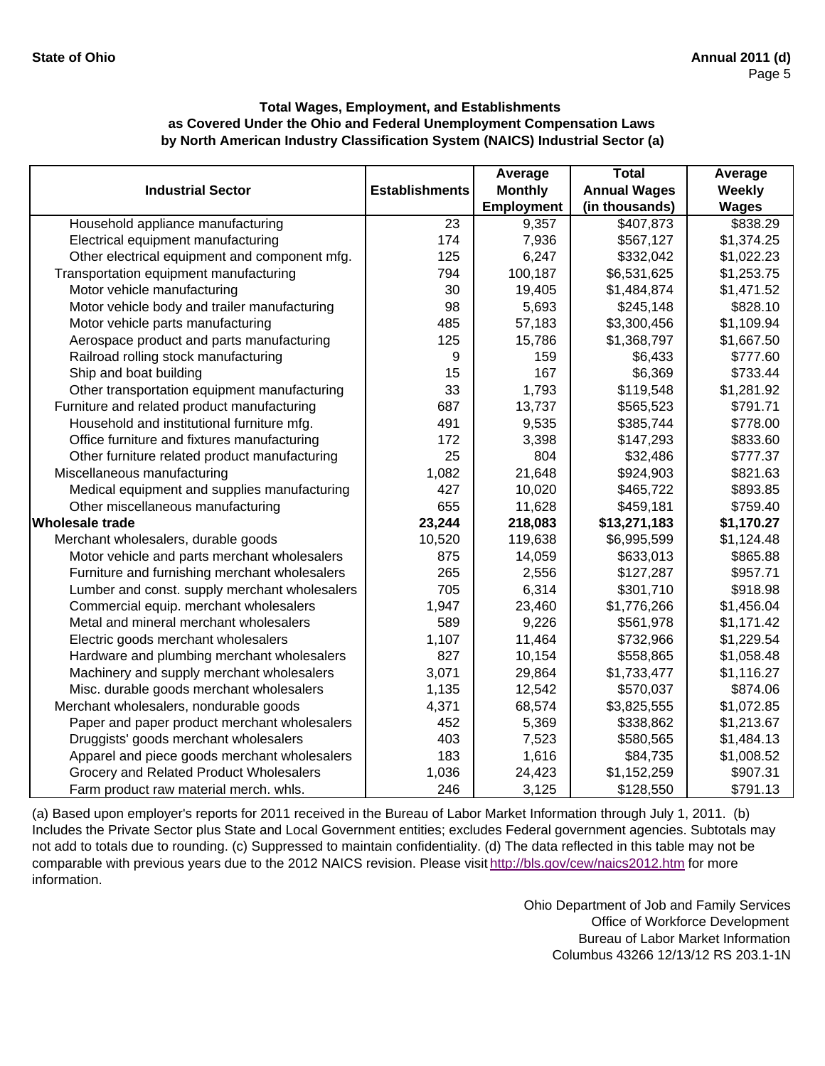|                                               |                       | Average           | <b>Total</b>        | Average      |
|-----------------------------------------------|-----------------------|-------------------|---------------------|--------------|
| <b>Industrial Sector</b>                      | <b>Establishments</b> | <b>Monthly</b>    | <b>Annual Wages</b> | Weekly       |
|                                               |                       | <b>Employment</b> | (in thousands)      | <b>Wages</b> |
| Household appliance manufacturing             | 23                    | 9,357             | \$407,873           | \$838.29     |
| Electrical equipment manufacturing            | 174                   | 7,936             | \$567,127           | \$1,374.25   |
| Other electrical equipment and component mfg. | 125                   | 6,247             | \$332,042           | \$1,022.23   |
| Transportation equipment manufacturing        | 794                   | 100,187           | \$6,531,625         | \$1,253.75   |
| Motor vehicle manufacturing                   | 30                    | 19,405            | \$1,484,874         | \$1,471.52   |
| Motor vehicle body and trailer manufacturing  | 98                    | 5,693             | \$245,148           | \$828.10     |
| Motor vehicle parts manufacturing             | 485                   | 57,183            | \$3,300,456         | \$1,109.94   |
| Aerospace product and parts manufacturing     | 125                   | 15,786            | \$1,368,797         | \$1,667.50   |
| Railroad rolling stock manufacturing          | 9                     | 159               | \$6,433             | \$777.60     |
| Ship and boat building                        | 15                    | 167               | \$6,369             | \$733.44     |
| Other transportation equipment manufacturing  | 33                    | 1,793             | \$119,548           | \$1,281.92   |
| Furniture and related product manufacturing   | 687                   | 13,737            | \$565,523           | \$791.71     |
| Household and institutional furniture mfg.    | 491                   | 9,535             | \$385,744           | \$778.00     |
| Office furniture and fixtures manufacturing   | 172                   | 3,398             | \$147,293           | \$833.60     |
| Other furniture related product manufacturing | 25                    | 804               | \$32,486            | \$777.37     |
| Miscellaneous manufacturing                   | 1,082                 | 21,648            | \$924,903           | \$821.63     |
| Medical equipment and supplies manufacturing  | 427                   | 10,020            | \$465,722           | \$893.85     |
| Other miscellaneous manufacturing             | 655                   | 11,628            | \$459,181           | \$759.40     |
| <b>Wholesale trade</b>                        | 23,244                | 218,083           | \$13,271,183        | \$1,170.27   |
| Merchant wholesalers, durable goods           | 10,520                | 119,638           | \$6,995,599         | \$1,124.48   |
| Motor vehicle and parts merchant wholesalers  | 875                   | 14,059            | \$633,013           | \$865.88     |
| Furniture and furnishing merchant wholesalers | 265                   | 2,556             | \$127,287           | \$957.71     |
| Lumber and const. supply merchant wholesalers | 705                   | 6,314             | \$301,710           | \$918.98     |
| Commercial equip. merchant wholesalers        | 1,947                 | 23,460            | \$1,776,266         | \$1,456.04   |
| Metal and mineral merchant wholesalers        | 589                   | 9,226             | \$561,978           | \$1,171.42   |
| Electric goods merchant wholesalers           | 1,107                 | 11,464            | \$732,966           | \$1,229.54   |
| Hardware and plumbing merchant wholesalers    | 827                   | 10,154            | \$558,865           | \$1,058.48   |
| Machinery and supply merchant wholesalers     | 3,071                 | 29,864            | \$1,733,477         | \$1,116.27   |
| Misc. durable goods merchant wholesalers      | 1,135                 | 12,542            | \$570,037           | \$874.06     |
| Merchant wholesalers, nondurable goods        | 4,371                 | 68,574            | \$3,825,555         | \$1,072.85   |
| Paper and paper product merchant wholesalers  | 452                   | 5,369             | \$338,862           | \$1,213.67   |
| Druggists' goods merchant wholesalers         | 403                   | 7,523             | \$580,565           | \$1,484.13   |
| Apparel and piece goods merchant wholesalers  | 183                   | 1,616             | \$84,735            | \$1,008.52   |
| Grocery and Related Product Wholesalers       | 1,036                 | 24,423            | \$1,152,259         | \$907.31     |
| Farm product raw material merch. whls.        | 246                   | 3,125             | \$128,550           | \$791.13     |

(a) Based upon employer's reports for 2011 received in the Bureau of Labor Market Information through July 1, 2011. (b) Includes the Private Sector plus State and Local Government entities; excludes Federal government agencies. Subtotals may not add to totals due to rounding. (c) Suppressed to maintain confidentiality. (d) The data reflected in this table may not be comparable with previous years due to the 2012 NAICS revision. Please visit http://bls.gov/cew/naics2012.htm for more information.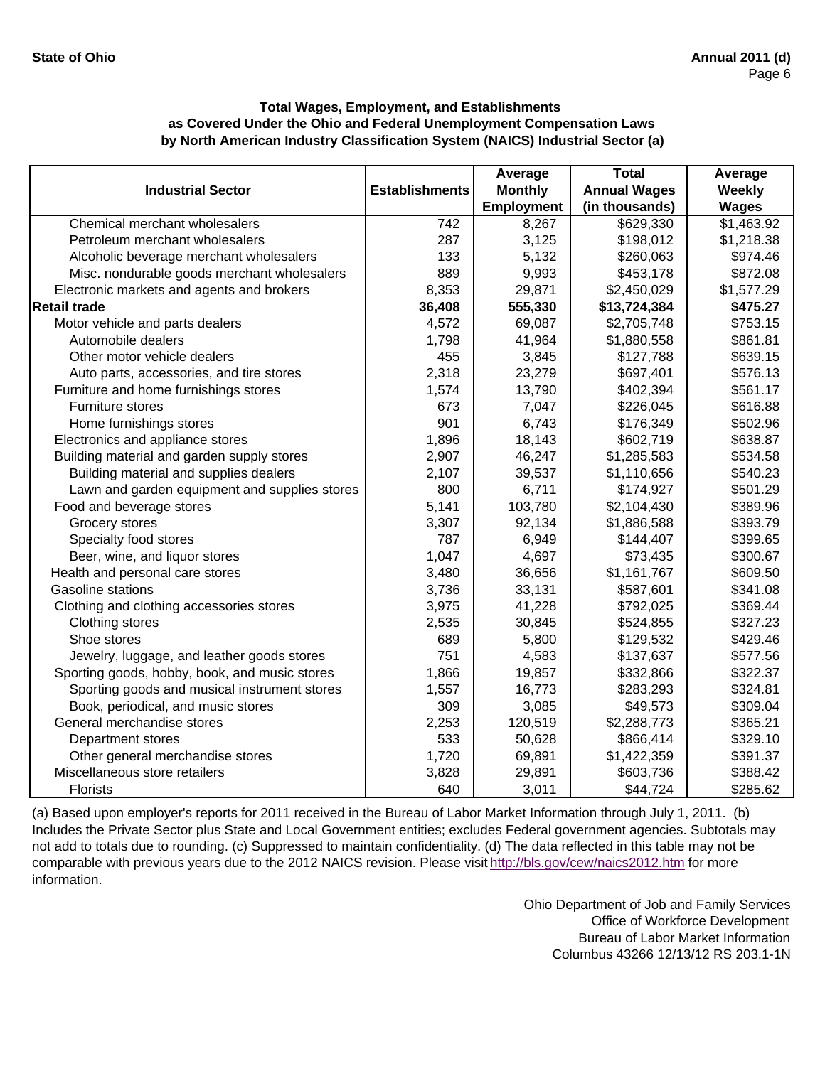|                                               |                       | Average        | <b>Total</b>        | Average      |
|-----------------------------------------------|-----------------------|----------------|---------------------|--------------|
| <b>Industrial Sector</b>                      | <b>Establishments</b> | <b>Monthly</b> | <b>Annual Wages</b> | Weekly       |
|                                               |                       | Employment     | (in thousands)      | <b>Wages</b> |
| Chemical merchant wholesalers                 | 742                   | 8,267          | \$629,330           | \$1,463.92   |
| Petroleum merchant wholesalers                | 287                   | 3,125          | \$198,012           | \$1,218.38   |
| Alcoholic beverage merchant wholesalers       | 133                   | 5,132          | \$260,063           | \$974.46     |
| Misc. nondurable goods merchant wholesalers   | 889                   | 9,993          | \$453,178           | \$872.08     |
| Electronic markets and agents and brokers     | 8,353                 | 29,871         | \$2,450,029         | \$1,577.29   |
| <b>Retail trade</b>                           | 36,408                | 555,330        | \$13,724,384        | \$475.27     |
| Motor vehicle and parts dealers               | 4,572                 | 69,087         | \$2,705,748         | \$753.15     |
| Automobile dealers                            | 1,798                 | 41,964         | \$1,880,558         | \$861.81     |
| Other motor vehicle dealers                   | 455                   | 3,845          | \$127,788           | \$639.15     |
| Auto parts, accessories, and tire stores      | 2,318                 | 23,279         | \$697,401           | \$576.13     |
| Furniture and home furnishings stores         | 1,574                 | 13,790         | \$402,394           | \$561.17     |
| Furniture stores                              | 673                   | 7,047          | \$226,045           | \$616.88     |
| Home furnishings stores                       | 901                   | 6,743          | \$176,349           | \$502.96     |
| Electronics and appliance stores              | 1,896                 | 18,143         | \$602,719           | \$638.87     |
| Building material and garden supply stores    | 2,907                 | 46,247         | \$1,285,583         | \$534.58     |
| Building material and supplies dealers        | 2,107                 | 39,537         | \$1,110,656         | \$540.23     |
| Lawn and garden equipment and supplies stores | 800                   | 6,711          | \$174,927           | \$501.29     |
| Food and beverage stores                      | 5,141                 | 103,780        | \$2,104,430         | \$389.96     |
| Grocery stores                                | 3,307                 | 92,134         | \$1,886,588         | \$393.79     |
| Specialty food stores                         | 787                   | 6,949          | \$144,407           | \$399.65     |
| Beer, wine, and liquor stores                 | 1,047                 | 4,697          | \$73,435            | \$300.67     |
| Health and personal care stores               | 3,480                 | 36,656         | \$1,161,767         | \$609.50     |
| <b>Gasoline stations</b>                      | 3,736                 | 33,131         | \$587,601           | \$341.08     |
| Clothing and clothing accessories stores      | 3,975                 | 41,228         | \$792,025           | \$369.44     |
| Clothing stores                               | 2,535                 | 30,845         | \$524,855           | \$327.23     |
| Shoe stores                                   | 689                   | 5,800          | \$129,532           | \$429.46     |
| Jewelry, luggage, and leather goods stores    | 751                   | 4,583          | \$137,637           | \$577.56     |
| Sporting goods, hobby, book, and music stores | 1,866                 | 19,857         | \$332,866           | \$322.37     |
| Sporting goods and musical instrument stores  | 1,557                 | 16,773         | \$283,293           | \$324.81     |
| Book, periodical, and music stores            | 309                   | 3,085          | \$49,573            | \$309.04     |
| General merchandise stores                    | 2,253                 | 120,519        | \$2,288,773         | \$365.21     |
| Department stores                             | 533                   | 50,628         | \$866,414           | \$329.10     |
| Other general merchandise stores              | 1,720                 | 69,891         | \$1,422,359         | \$391.37     |
| Miscellaneous store retailers                 | 3,828                 | 29,891         | \$603,736           | \$388.42     |
| <b>Florists</b>                               | 640                   | 3,011          | \$44,724            | \$285.62     |

(a) Based upon employer's reports for 2011 received in the Bureau of Labor Market Information through July 1, 2011. (b) Includes the Private Sector plus State and Local Government entities; excludes Federal government agencies. Subtotals may not add to totals due to rounding. (c) Suppressed to maintain confidentiality. (d) The data reflected in this table may not be comparable with previous years due to the 2012 NAICS revision. Please visit http://bls.gov/cew/naics2012.htm for more information.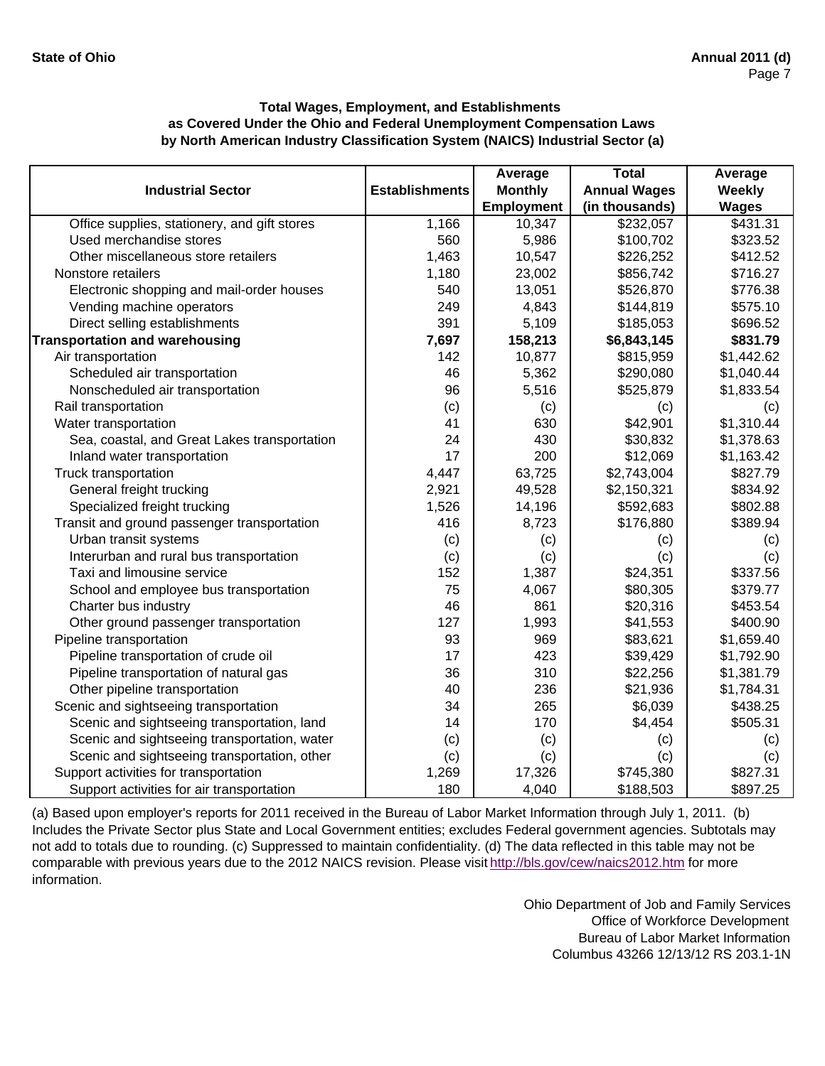|                                              |                       | Average           | <b>Total</b>        | Average      |
|----------------------------------------------|-----------------------|-------------------|---------------------|--------------|
| <b>Industrial Sector</b>                     | <b>Establishments</b> | <b>Monthly</b>    | <b>Annual Wages</b> | Weekly       |
|                                              |                       | <b>Employment</b> | (in thousands)      | <b>Wages</b> |
| Office supplies, stationery, and gift stores | 1,166                 | 10,347            | \$232,057           | \$431.31     |
| Used merchandise stores                      | 560                   | 5,986             | \$100,702           | \$323.52     |
| Other miscellaneous store retailers          | 1,463                 | 10,547            | \$226,252           | \$412.52     |
| Nonstore retailers                           | 1,180                 | 23,002            | \$856,742           | \$716.27     |
| Electronic shopping and mail-order houses    | 540                   | 13,051            | \$526,870           | \$776.38     |
| Vending machine operators                    | 249                   | 4,843             | \$144,819           | \$575.10     |
| Direct selling establishments                | 391                   | 5,109             | \$185,053           | \$696.52     |
| <b>Transportation and warehousing</b>        | 7,697                 | 158,213           | \$6,843,145         | \$831.79     |
| Air transportation                           | 142                   | 10,877            | \$815,959           | \$1,442.62   |
| Scheduled air transportation                 | 46                    | 5,362             | \$290,080           | \$1,040.44   |
| Nonscheduled air transportation              | 96                    | 5,516             | \$525,879           | \$1,833.54   |
| Rail transportation                          | (c)                   | (c)               | (c)                 | (c)          |
| Water transportation                         | 41                    | 630               | \$42,901            | \$1,310.44   |
| Sea, coastal, and Great Lakes transportation | 24                    | 430               | \$30,832            | \$1,378.63   |
| Inland water transportation                  | 17                    | 200               | \$12,069            | \$1,163.42   |
| Truck transportation                         | 4,447                 | 63,725            | \$2,743,004         | \$827.79     |
| General freight trucking                     | 2,921                 | 49,528            | \$2,150,321         | \$834.92     |
| Specialized freight trucking                 | 1,526                 | 14,196            | \$592,683           | \$802.88     |
| Transit and ground passenger transportation  | 416                   | 8,723             | \$176,880           | \$389.94     |
| Urban transit systems                        | (c)                   | (c)               | (c)                 | (c)          |
| Interurban and rural bus transportation      | (c)                   | (c)               | (c)                 | (c)          |
| Taxi and limousine service                   | 152                   | 1,387             | \$24,351            | \$337.56     |
| School and employee bus transportation       | 75                    | 4,067             | \$80,305            | \$379.77     |
| Charter bus industry                         | 46                    | 861               | \$20,316            | \$453.54     |
| Other ground passenger transportation        | 127                   | 1,993             | \$41,553            | \$400.90     |
| Pipeline transportation                      | 93                    | 969               | \$83,621            | \$1,659.40   |
| Pipeline transportation of crude oil         | 17                    | 423               | \$39,429            | \$1,792.90   |
| Pipeline transportation of natural gas       | 36                    | 310               | \$22,256            | \$1,381.79   |
| Other pipeline transportation                | 40                    | 236               | \$21,936            | \$1,784.31   |
| Scenic and sightseeing transportation        | 34                    | 265               | \$6,039             | \$438.25     |
| Scenic and sightseeing transportation, land  | 14                    | 170               | \$4,454             | \$505.31     |
| Scenic and sightseeing transportation, water | (c)                   | (c)               | (c)                 | (c)          |
| Scenic and sightseeing transportation, other | (c)                   | (c)               | (c)                 | (c)          |
| Support activities for transportation        | 1,269                 | 17,326            | \$745,380           | \$827.31     |
| Support activities for air transportation    | 180                   | 4,040             | \$188,503           | \$897.25     |

(a) Based upon employer's reports for 2011 received in the Bureau of Labor Market Information through July 1, 2011. (b) Includes the Private Sector plus State and Local Government entities; excludes Federal government agencies. Subtotals may not add to totals due to rounding. (c) Suppressed to maintain confidentiality. (d) The data reflected in this table may not be comparable with previous years due to the 2012 NAICS revision. Please visit http://bls.gov/cew/naics2012.htm for more information.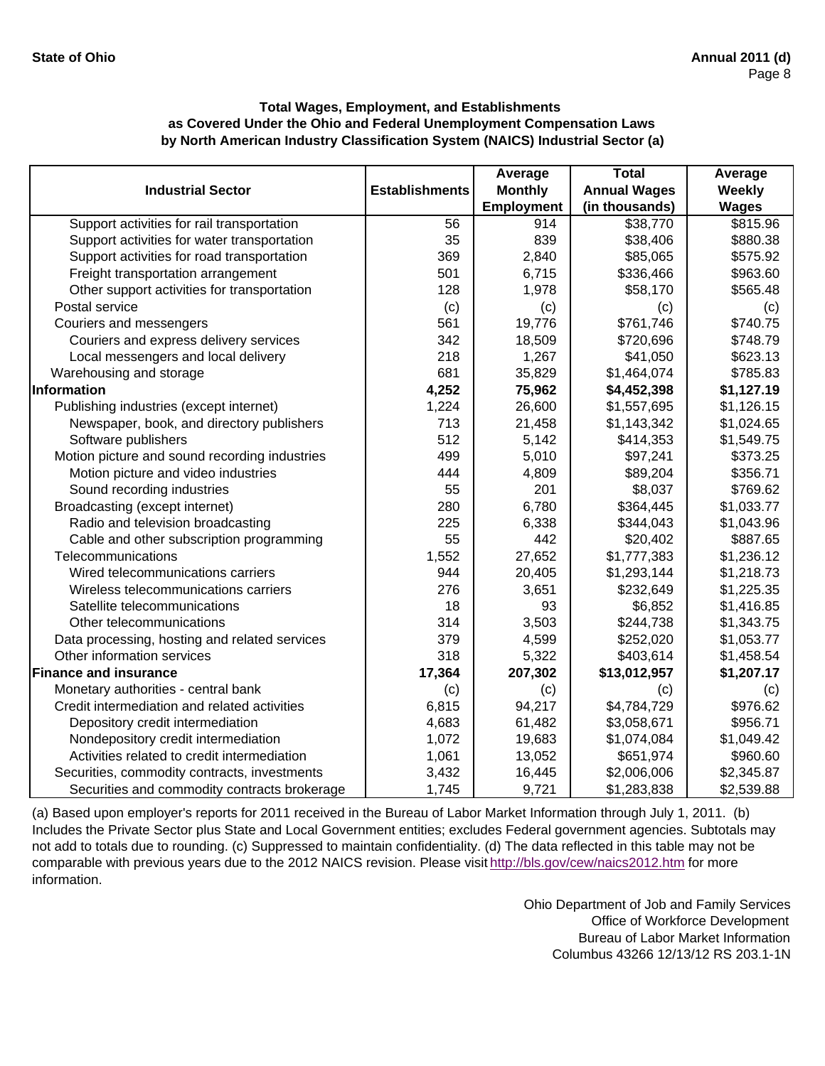|                                               |                       | Average           | <b>Total</b>        | Average      |
|-----------------------------------------------|-----------------------|-------------------|---------------------|--------------|
| <b>Industrial Sector</b>                      | <b>Establishments</b> | <b>Monthly</b>    | <b>Annual Wages</b> | Weekly       |
|                                               |                       | <b>Employment</b> | (in thousands)      | <b>Wages</b> |
| Support activities for rail transportation    | 56                    | 914               | \$38,770            | \$815.96     |
| Support activities for water transportation   | 35                    | 839               | \$38,406            | \$880.38     |
| Support activities for road transportation    | 369                   | 2,840             | \$85,065            | \$575.92     |
| Freight transportation arrangement            | 501                   | 6,715             | \$336,466           | \$963.60     |
| Other support activities for transportation   | 128                   | 1,978             | \$58,170            | \$565.48     |
| Postal service                                | (c)                   | (c)               | (c)                 | (c)          |
| Couriers and messengers                       | 561                   | 19,776            | \$761,746           | \$740.75     |
| Couriers and express delivery services        | 342                   | 18,509            | \$720,696           | \$748.79     |
| Local messengers and local delivery           | 218                   | 1,267             | \$41,050            | \$623.13     |
| Warehousing and storage                       | 681                   | 35,829            | \$1,464,074         | \$785.83     |
| Information                                   | 4,252                 | 75,962            | \$4,452,398         | \$1,127.19   |
| Publishing industries (except internet)       | 1,224                 | 26,600            | \$1,557,695         | \$1,126.15   |
| Newspaper, book, and directory publishers     | 713                   | 21,458            | \$1,143,342         | \$1,024.65   |
| Software publishers                           | 512                   | 5,142             | \$414,353           | \$1,549.75   |
| Motion picture and sound recording industries | 499                   | 5,010             | \$97,241            | \$373.25     |
| Motion picture and video industries           | 444                   | 4,809             | \$89,204            | \$356.71     |
| Sound recording industries                    | 55                    | 201               | \$8,037             | \$769.62     |
| Broadcasting (except internet)                | 280                   | 6,780             | \$364,445           | \$1,033.77   |
| Radio and television broadcasting             | 225                   | 6,338             | \$344,043           | \$1,043.96   |
| Cable and other subscription programming      | 55                    | 442               | \$20,402            | \$887.65     |
| Telecommunications                            | 1,552                 | 27,652            | \$1,777,383         | \$1,236.12   |
| Wired telecommunications carriers             | 944                   | 20,405            | \$1,293,144         | \$1,218.73   |
| Wireless telecommunications carriers          | 276                   | 3,651             | \$232,649           | \$1,225.35   |
| Satellite telecommunications                  | 18                    | 93                | \$6,852             | \$1,416.85   |
| Other telecommunications                      | 314                   | 3,503             | \$244,738           | \$1,343.75   |
| Data processing, hosting and related services | 379                   | 4,599             | \$252,020           | \$1,053.77   |
| Other information services                    | 318                   | 5,322             | \$403,614           | \$1,458.54   |
| <b>Finance and insurance</b>                  | 17,364                | 207,302           | \$13,012,957        | \$1,207.17   |
| Monetary authorities - central bank           | (c)                   | (c)               | (c)                 | (c)          |
| Credit intermediation and related activities  | 6,815                 | 94,217            | \$4,784,729         | \$976.62     |
| Depository credit intermediation              | 4,683                 | 61,482            | \$3,058,671         | \$956.71     |
| Nondepository credit intermediation           | 1,072                 | 19,683            | \$1,074,084         | \$1,049.42   |
| Activities related to credit intermediation   | 1,061                 | 13,052            | \$651,974           | \$960.60     |
| Securities, commodity contracts, investments  | 3,432                 | 16,445            | \$2,006,006         | \$2,345.87   |
| Securities and commodity contracts brokerage  | 1,745                 | 9,721             | \$1,283,838         | \$2,539.88   |

(a) Based upon employer's reports for 2011 received in the Bureau of Labor Market Information through July 1, 2011. (b) Includes the Private Sector plus State and Local Government entities; excludes Federal government agencies. Subtotals may not add to totals due to rounding. (c) Suppressed to maintain confidentiality. (d) The data reflected in this table may not be comparable with previous years due to the 2012 NAICS revision. Please visit http://bls.gov/cew/naics2012.htm for more information.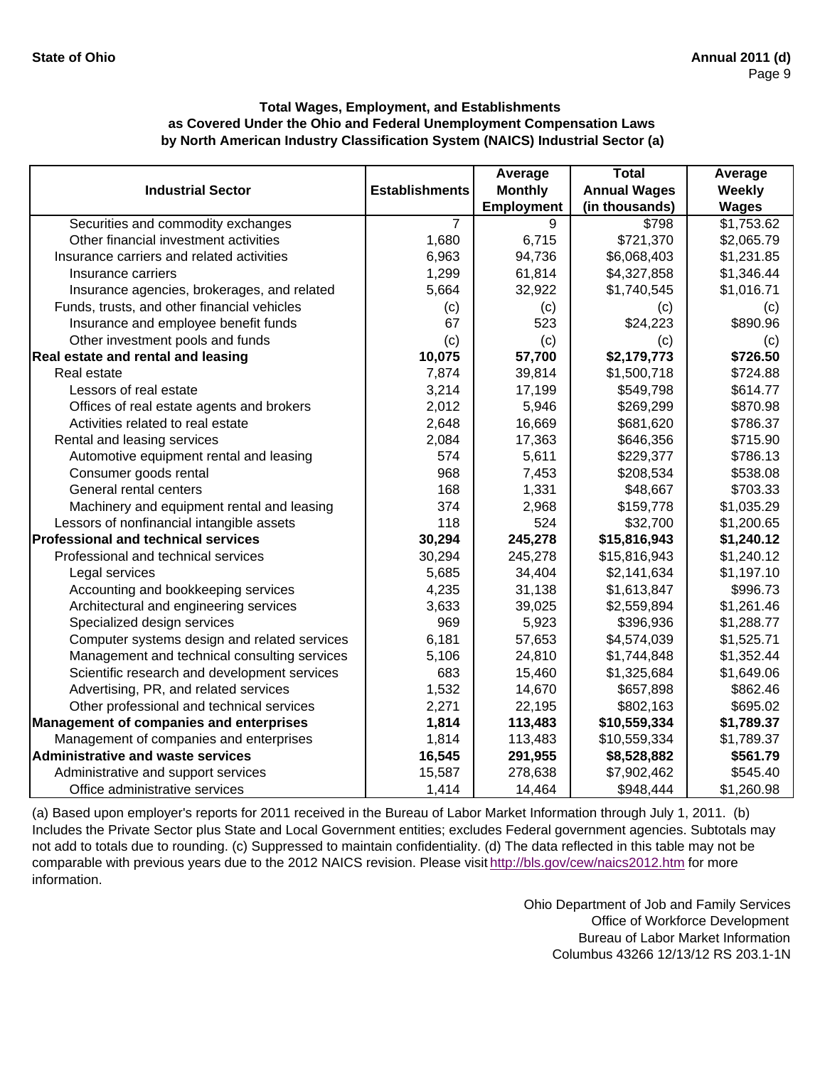|                                                |                       | Average           | <b>Total</b>        | Average      |
|------------------------------------------------|-----------------------|-------------------|---------------------|--------------|
| <b>Industrial Sector</b>                       | <b>Establishments</b> | <b>Monthly</b>    | <b>Annual Wages</b> | Weekly       |
|                                                |                       | <b>Employment</b> | (in thousands)      | <b>Wages</b> |
| Securities and commodity exchanges             | $\overline{7}$        | 9                 | \$798               | \$1,753.62   |
| Other financial investment activities          | 1,680                 | 6,715             | \$721,370           | \$2,065.79   |
| Insurance carriers and related activities      | 6,963                 | 94,736            | \$6,068,403         | \$1,231.85   |
| Insurance carriers                             | 1,299                 | 61,814            | \$4,327,858         | \$1,346.44   |
| Insurance agencies, brokerages, and related    | 5,664                 | 32,922            | \$1,740,545         | \$1,016.71   |
| Funds, trusts, and other financial vehicles    | (c)                   | (c)               | (c)                 | (c)          |
| Insurance and employee benefit funds           | 67                    | 523               | \$24,223            | \$890.96     |
| Other investment pools and funds               | (c)                   | (c)               | (c)                 | (c)          |
| Real estate and rental and leasing             | 10,075                | 57,700            | \$2,179,773         | \$726.50     |
| Real estate                                    | 7,874                 | 39,814            | \$1,500,718         | \$724.88     |
| Lessors of real estate                         | 3,214                 | 17,199            | \$549,798           | \$614.77     |
| Offices of real estate agents and brokers      | 2,012                 | 5,946             | \$269,299           | \$870.98     |
| Activities related to real estate              | 2,648                 | 16,669            | \$681,620           | \$786.37     |
| Rental and leasing services                    | 2,084                 | 17,363            | \$646,356           | \$715.90     |
| Automotive equipment rental and leasing        | 574                   | 5,611             | \$229,377           | \$786.13     |
| Consumer goods rental                          | 968                   | 7,453             | \$208,534           | \$538.08     |
| General rental centers                         | 168                   | 1,331             | \$48,667            | \$703.33     |
| Machinery and equipment rental and leasing     | 374                   | 2,968             | \$159,778           | \$1,035.29   |
| Lessors of nonfinancial intangible assets      | 118                   | 524               | \$32,700            | \$1,200.65   |
| <b>Professional and technical services</b>     | 30,294                | 245,278           | \$15,816,943        | \$1,240.12   |
| Professional and technical services            | 30,294                | 245,278           | \$15,816,943        | \$1,240.12   |
| Legal services                                 | 5,685                 | 34,404            | \$2,141,634         | \$1,197.10   |
| Accounting and bookkeeping services            | 4,235                 | 31,138            | \$1,613,847         | \$996.73     |
| Architectural and engineering services         | 3,633                 | 39,025            | \$2,559,894         | \$1,261.46   |
| Specialized design services                    | 969                   | 5,923             | \$396,936           | \$1,288.77   |
| Computer systems design and related services   | 6,181                 | 57,653            | \$4,574,039         | \$1,525.71   |
| Management and technical consulting services   | 5,106                 | 24,810            | \$1,744,848         | \$1,352.44   |
| Scientific research and development services   | 683                   | 15,460            | \$1,325,684         | \$1,649.06   |
| Advertising, PR, and related services          | 1,532                 | 14,670            | \$657,898           | \$862.46     |
| Other professional and technical services      | 2,271                 | 22,195            | \$802,163           | \$695.02     |
| <b>Management of companies and enterprises</b> | 1,814                 | 113,483           | \$10,559,334        | \$1,789.37   |
| Management of companies and enterprises        | 1,814                 | 113,483           | \$10,559,334        | \$1,789.37   |
| <b>Administrative and waste services</b>       | 16,545                | 291,955           | \$8,528,882         | \$561.79     |
| Administrative and support services            | 15,587                | 278,638           | \$7,902,462         | \$545.40     |
| Office administrative services                 | 1,414                 | 14,464            | \$948,444           | \$1,260.98   |

(a) Based upon employer's reports for 2011 received in the Bureau of Labor Market Information through July 1, 2011. (b) Includes the Private Sector plus State and Local Government entities; excludes Federal government agencies. Subtotals may not add to totals due to rounding. (c) Suppressed to maintain confidentiality. (d) The data reflected in this table may not be comparable with previous years due to the 2012 NAICS revision. Please visit http://bls.gov/cew/naics2012.htm for more information.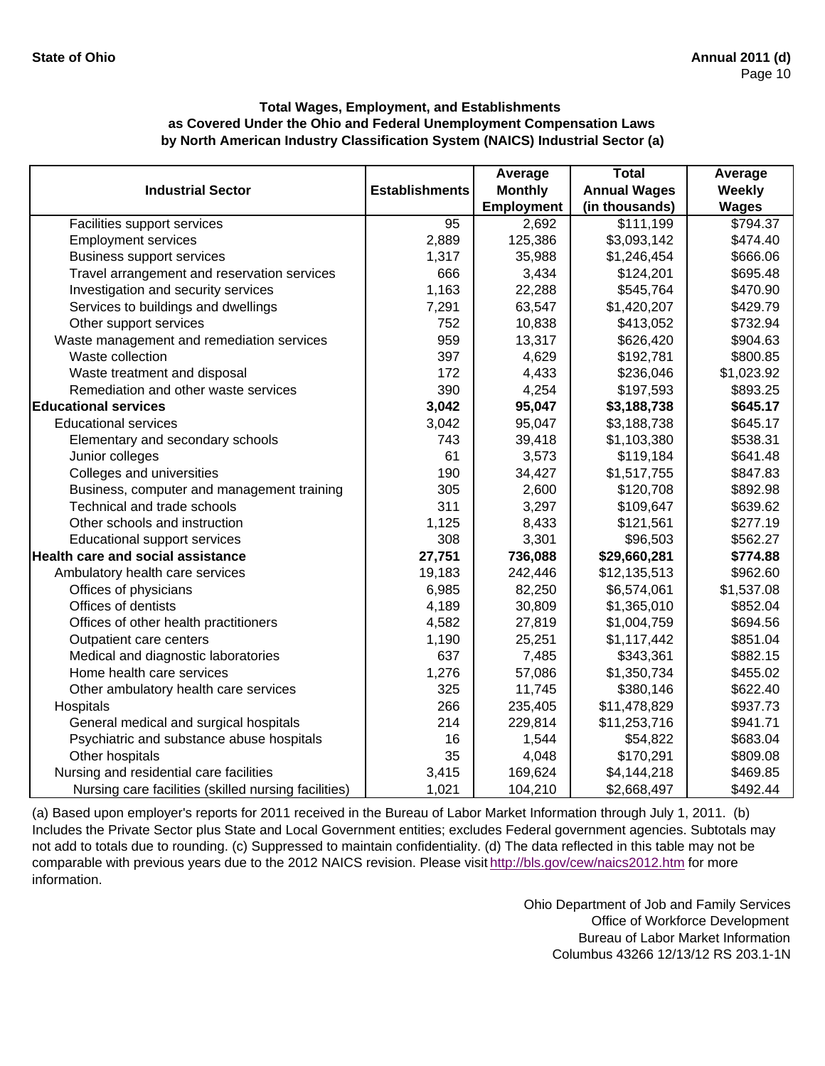|                                                      |                       | Average           | <b>Total</b>        | Average       |
|------------------------------------------------------|-----------------------|-------------------|---------------------|---------------|
| <b>Industrial Sector</b>                             | <b>Establishments</b> | <b>Monthly</b>    | <b>Annual Wages</b> | <b>Weekly</b> |
|                                                      |                       | <b>Employment</b> | (in thousands)      | <b>Wages</b>  |
| Facilities support services                          | 95                    | 2,692             | \$111,199           | \$794.37      |
| <b>Employment services</b>                           | 2,889                 | 125,386           | \$3,093,142         | \$474.40      |
| <b>Business support services</b>                     | 1,317                 | 35,988            | \$1,246,454         | \$666.06      |
| Travel arrangement and reservation services          | 666                   | 3,434             | \$124,201           | \$695.48      |
| Investigation and security services                  | 1,163                 | 22,288            | \$545,764           | \$470.90      |
| Services to buildings and dwellings                  | 7,291                 | 63,547            | \$1,420,207         | \$429.79      |
| Other support services                               | 752                   | 10,838            | \$413,052           | \$732.94      |
| Waste management and remediation services            | 959                   | 13,317            | \$626,420           | \$904.63      |
| Waste collection                                     | 397                   | 4,629             | \$192,781           | \$800.85      |
| Waste treatment and disposal                         | 172                   | 4,433             | \$236,046           | \$1,023.92    |
| Remediation and other waste services                 | 390                   | 4,254             | \$197,593           | \$893.25      |
| <b>Educational services</b>                          | 3,042                 | 95,047            | \$3,188,738         | \$645.17      |
| <b>Educational services</b>                          | 3,042                 | 95,047            | \$3,188,738         | \$645.17      |
| Elementary and secondary schools                     | 743                   | 39,418            | \$1,103,380         | \$538.31      |
| Junior colleges                                      | 61                    | 3,573             | \$119,184           | \$641.48      |
| Colleges and universities                            | 190                   | 34,427            | \$1,517,755         | \$847.83      |
| Business, computer and management training           | 305                   | 2,600             | \$120,708           | \$892.98      |
| Technical and trade schools                          | 311                   | 3,297             | \$109,647           | \$639.62      |
| Other schools and instruction                        | 1,125                 | 8,433             | \$121,561           | \$277.19      |
| <b>Educational support services</b>                  | 308                   | 3,301             | \$96,503            | \$562.27      |
| Health care and social assistance                    | 27,751                | 736,088           | \$29,660,281        | \$774.88      |
| Ambulatory health care services                      | 19,183                | 242,446           | \$12,135,513        | \$962.60      |
| Offices of physicians                                | 6,985                 | 82,250            | \$6,574,061         | \$1,537.08    |
| Offices of dentists                                  | 4,189                 | 30,809            | \$1,365,010         | \$852.04      |
| Offices of other health practitioners                | 4,582                 | 27,819            | \$1,004,759         | \$694.56      |
| Outpatient care centers                              | 1,190                 | 25,251            | \$1,117,442         | \$851.04      |
| Medical and diagnostic laboratories                  | 637                   | 7,485             | \$343,361           | \$882.15      |
| Home health care services                            | 1,276                 | 57,086            | \$1,350,734         | \$455.02      |
| Other ambulatory health care services                | 325                   | 11,745            | \$380,146           | \$622.40      |
| Hospitals                                            | 266                   | 235,405           | \$11,478,829        | \$937.73      |
| General medical and surgical hospitals               | 214                   | 229,814           | \$11,253,716        | \$941.71      |
| Psychiatric and substance abuse hospitals            | 16                    | 1,544             | \$54,822            | \$683.04      |
| Other hospitals                                      | 35                    | 4,048             | \$170,291           | \$809.08      |
| Nursing and residential care facilities              | 3,415                 | 169,624           | \$4,144,218         | \$469.85      |
| Nursing care facilities (skilled nursing facilities) | 1,021                 | 104,210           | \$2,668,497         | \$492.44      |

(a) Based upon employer's reports for 2011 received in the Bureau of Labor Market Information through July 1, 2011. (b) Includes the Private Sector plus State and Local Government entities; excludes Federal government agencies. Subtotals may not add to totals due to rounding. (c) Suppressed to maintain confidentiality. (d) The data reflected in this table may not be comparable with previous years due to the 2012 NAICS revision. Please visit http://bls.gov/cew/naics2012.htm for more information.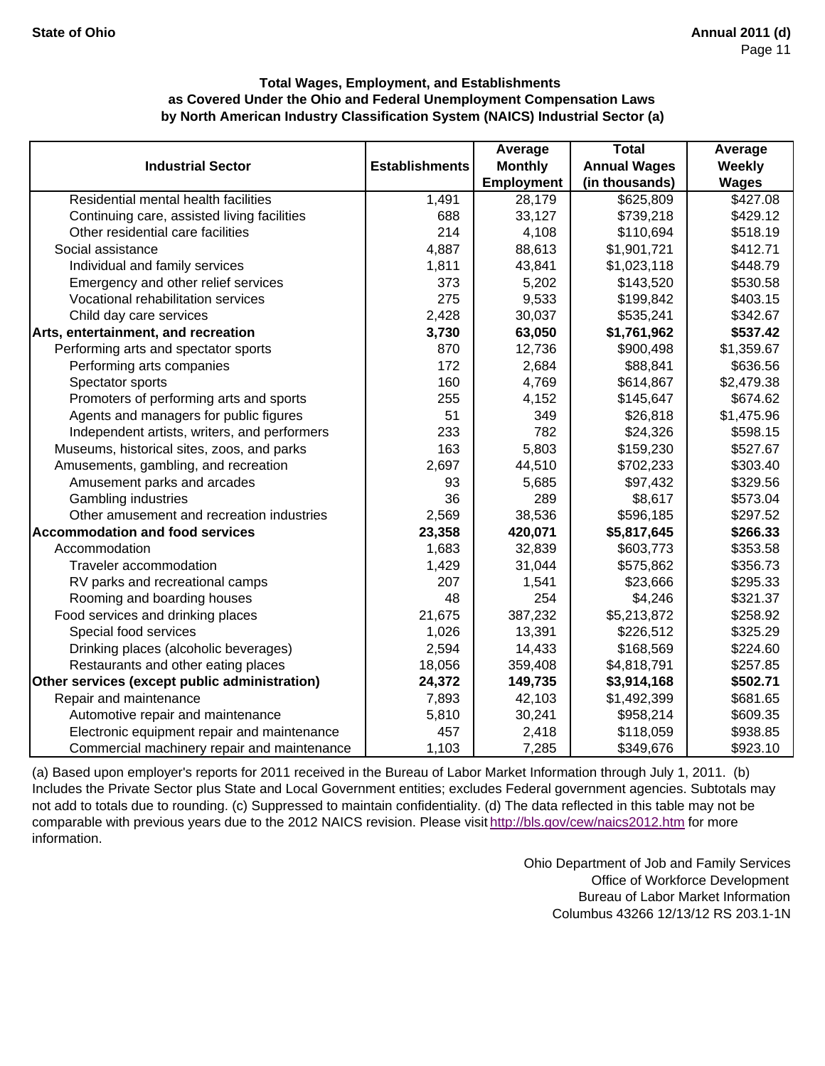|                                               |                       | Average           | <b>Total</b>        | Average       |
|-----------------------------------------------|-----------------------|-------------------|---------------------|---------------|
| <b>Industrial Sector</b>                      | <b>Establishments</b> | <b>Monthly</b>    | <b>Annual Wages</b> | <b>Weekly</b> |
|                                               |                       | <b>Employment</b> | (in thousands)      | <b>Wages</b>  |
| Residential mental health facilities          | 1,491                 | 28,179            | \$625,809           | \$427.08      |
| Continuing care, assisted living facilities   | 688                   | 33,127            | \$739,218           | \$429.12      |
| Other residential care facilities             | 214                   | 4,108             | \$110,694           | \$518.19      |
| Social assistance                             | 4,887                 | 88,613            | \$1,901,721         | \$412.71      |
| Individual and family services                | 1,811                 | 43,841            | \$1,023,118         | \$448.79      |
| Emergency and other relief services           | 373                   | 5,202             | \$143,520           | \$530.58      |
| Vocational rehabilitation services            | 275                   | 9,533             | \$199,842           | \$403.15      |
| Child day care services                       | 2,428                 | 30,037            | \$535,241           | \$342.67      |
| Arts, entertainment, and recreation           | 3,730                 | 63,050            | \$1,761,962         | \$537.42      |
| Performing arts and spectator sports          | 870                   | 12,736            | \$900,498           | \$1,359.67    |
| Performing arts companies                     | 172                   | 2,684             | \$88,841            | \$636.56      |
| Spectator sports                              | 160                   | 4,769             | \$614,867           | \$2,479.38    |
| Promoters of performing arts and sports       | 255                   | 4,152             | \$145,647           | \$674.62      |
| Agents and managers for public figures        | 51                    | 349               | \$26,818            | \$1,475.96    |
| Independent artists, writers, and performers  | 233                   | 782               | \$24,326            | \$598.15      |
| Museums, historical sites, zoos, and parks    | 163                   | 5,803             | \$159,230           | \$527.67      |
| Amusements, gambling, and recreation          | 2,697                 | 44,510            | \$702,233           | \$303.40      |
| Amusement parks and arcades                   | 93                    | 5,685             | \$97,432            | \$329.56      |
| Gambling industries                           | 36                    | 289               | \$8,617             | \$573.04      |
| Other amusement and recreation industries     | 2,569                 | 38,536            | \$596,185           | \$297.52      |
| <b>Accommodation and food services</b>        | 23,358                | 420,071           | \$5,817,645         | \$266.33      |
| Accommodation                                 | 1,683                 | 32,839            | \$603,773           | \$353.58      |
| Traveler accommodation                        | 1,429                 | 31,044            | \$575,862           | \$356.73      |
| RV parks and recreational camps               | 207                   | 1,541             | \$23,666            | \$295.33      |
| Rooming and boarding houses                   | 48                    | 254               | \$4,246             | \$321.37      |
| Food services and drinking places             | 21,675                | 387,232           | \$5,213,872         | \$258.92      |
| Special food services                         | 1,026                 | 13,391            | \$226,512           | \$325.29      |
| Drinking places (alcoholic beverages)         | 2,594                 | 14,433            | \$168,569           | \$224.60      |
| Restaurants and other eating places           | 18,056                | 359,408           | \$4,818,791         | \$257.85      |
| Other services (except public administration) | 24,372                | 149,735           | \$3,914,168         | \$502.71      |
| Repair and maintenance                        | 7,893                 | 42,103            | \$1,492,399         | \$681.65      |
| Automotive repair and maintenance             | 5,810                 | 30,241            | \$958,214           | \$609.35      |
| Electronic equipment repair and maintenance   | 457                   | 2,418             | \$118,059           | \$938.85      |
| Commercial machinery repair and maintenance   | 1,103                 | 7,285             | \$349,676           | \$923.10      |

(a) Based upon employer's reports for 2011 received in the Bureau of Labor Market Information through July 1, 2011. (b) Includes the Private Sector plus State and Local Government entities; excludes Federal government agencies. Subtotals may not add to totals due to rounding. (c) Suppressed to maintain confidentiality. (d) The data reflected in this table may not be comparable with previous years due to the 2012 NAICS revision. Please visit http://bls.gov/cew/naics2012.htm for more information.